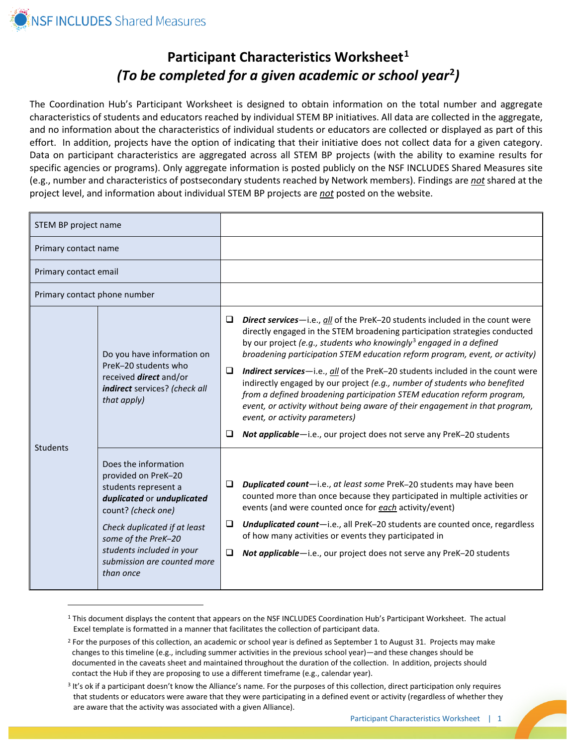# **Participant Characteristics Worksheet[1](#page-0-0)** *(To be completed for a given academic or school year***[2](#page-0-1)***)*

The Coordination Hub's Participant Worksheet is designed to obtain information on the total number and aggregate characteristics of students and educators reached by individual STEM BP initiatives. All data are collected in the aggregate, and no information about the characteristics of individual students or educators are collected or displayed as part of this effort. In addition, projects have the option of indicating that their initiative does not collect data for a given category. Data on participant characteristics are aggregated across all STEM BP projects (with the ability to examine results for specific agencies or programs). Only aggregate information is posted publicly on the NSF INCLUDES Shared Measures site (e.g., number and characteristics of postsecondary students reached by Network members). Findings are *not* shared at the project level, and information about individual STEM BP projects are *not* posted on the website.

| STEM BP project name                                                                                                                |                                                                                                                                                                                                                                                         |             |                                                                                                                                                                                                                                                                                                                                                                                                                                                                                                                                                                                                                                                                                                                                                               |
|-------------------------------------------------------------------------------------------------------------------------------------|---------------------------------------------------------------------------------------------------------------------------------------------------------------------------------------------------------------------------------------------------------|-------------|---------------------------------------------------------------------------------------------------------------------------------------------------------------------------------------------------------------------------------------------------------------------------------------------------------------------------------------------------------------------------------------------------------------------------------------------------------------------------------------------------------------------------------------------------------------------------------------------------------------------------------------------------------------------------------------------------------------------------------------------------------------|
| Primary contact name                                                                                                                |                                                                                                                                                                                                                                                         |             |                                                                                                                                                                                                                                                                                                                                                                                                                                                                                                                                                                                                                                                                                                                                                               |
| Primary contact email                                                                                                               |                                                                                                                                                                                                                                                         |             |                                                                                                                                                                                                                                                                                                                                                                                                                                                                                                                                                                                                                                                                                                                                                               |
| Primary contact phone number                                                                                                        |                                                                                                                                                                                                                                                         |             |                                                                                                                                                                                                                                                                                                                                                                                                                                                                                                                                                                                                                                                                                                                                                               |
| Do you have information on<br>PreK-20 students who<br>received <i>direct</i> and/or<br>indirect services? (check all<br>that apply) |                                                                                                                                                                                                                                                         | □<br>□<br>⊔ | Direct services-i.e., all of the PreK-20 students included in the count were<br>directly engaged in the STEM broadening participation strategies conducted<br>by our project (e.g., students who knowingly <sup>3</sup> engaged in a defined<br>broadening participation STEM education reform program, event, or activity)<br>Indirect services-i.e., all of the PreK-20 students included in the count were<br>indirectly engaged by our project (e.g., number of students who benefited<br>from a defined broadening participation STEM education reform program,<br>event, or activity without being aware of their engagement in that program,<br>event, or activity parameters)<br>Not applicable-i.e., our project does not serve any PreK-20 students |
| Students                                                                                                                            | Does the information<br>provided on PreK-20<br>students represent a<br>duplicated or unduplicated<br>count? (check one)<br>Check duplicated if at least<br>some of the PreK-20<br>students included in your<br>submission are counted more<br>than once | ⊔<br>□<br>⊔ | Duplicated count-i.e., at least some PreK-20 students may have been<br>counted more than once because they participated in multiple activities or<br>events (and were counted once for each activity/event)<br>Unduplicated count-i.e., all PreK-20 students are counted once, regardless<br>of how many activities or events they participated in<br>Not applicable-i.e., our project does not serve any PreK-20 students                                                                                                                                                                                                                                                                                                                                    |

<span id="page-0-0"></span><sup>1</sup> This document displays the content that appears on the NSF INCLUDES Coordination Hub's Participant Worksheet. The actual Excel template is formatted in a manner that facilitates the collection of participant data.

<span id="page-0-1"></span><sup>&</sup>lt;sup>2</sup> For the purposes of this collection, an academic or school year is defined as September 1 to August 31. Projects may make changes to this timeline (e.g., including summer activities in the previous school year)—and these changes should be documented in the caveats sheet and maintained throughout the duration of the collection. In addition, projects should contact the Hub if they are proposing to use a different timeframe (e.g., calendar year).

<span id="page-0-2"></span><sup>&</sup>lt;sup>3</sup> It's ok if a participant doesn't know the Alliance's name. For the purposes of this collection, direct participation only requires that students or educators were aware that they were participating in a defined event or activity (regardless of whether they are aware that the activity was associated with a given Alliance).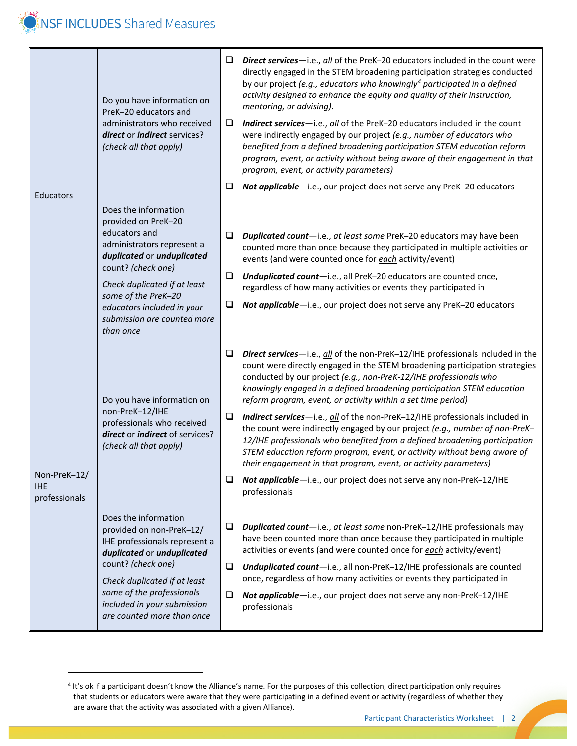

| Educators                                   | Do you have information on<br>PreK-20 educators and<br>administrators who received<br>direct or indirect services?<br>(check all that apply)                                                                                                                                    | $\Box$<br>❏<br>❏      | Direct services-i.e., all of the PreK-20 educators included in the count were<br>directly engaged in the STEM broadening participation strategies conducted<br>by our project (e.g., educators who knowingly <sup>4</sup> participated in a defined<br>activity designed to enhance the equity and quality of their instruction,<br>mentoring, or advising).<br><b>Indirect services</b> —i.e., all of the PreK-20 educators included in the count<br>were indirectly engaged by our project (e.g., number of educators who<br>benefited from a defined broadening participation STEM education reform<br>program, event, or activity without being aware of their engagement in that<br>program, event, or activity parameters)<br>Not applicable-i.e., our project does not serve any PreK-20 educators                                                         |
|---------------------------------------------|---------------------------------------------------------------------------------------------------------------------------------------------------------------------------------------------------------------------------------------------------------------------------------|-----------------------|-------------------------------------------------------------------------------------------------------------------------------------------------------------------------------------------------------------------------------------------------------------------------------------------------------------------------------------------------------------------------------------------------------------------------------------------------------------------------------------------------------------------------------------------------------------------------------------------------------------------------------------------------------------------------------------------------------------------------------------------------------------------------------------------------------------------------------------------------------------------|
|                                             | Does the information<br>provided on PreK-20<br>educators and<br>administrators represent a<br>duplicated or unduplicated<br>count? (check one)<br>Check duplicated if at least<br>some of the PreK-20<br>educators included in your<br>submission are counted more<br>than once | $\Box$<br>$\Box$<br>❏ | Duplicated count-i.e., at least some PreK-20 educators may have been<br>counted more than once because they participated in multiple activities or<br>events (and were counted once for each activity/event)<br>Unduplicated count-i.e., all PreK-20 educators are counted once,<br>regardless of how many activities or events they participated in<br>Not applicable-i.e., our project does not serve any PreK-20 educators                                                                                                                                                                                                                                                                                                                                                                                                                                     |
| Non-PreK-12/<br><b>IHE</b><br>professionals | Do you have information on<br>non-PreK-12/IHE<br>professionals who received<br>direct or indirect of services?<br>(check all that apply)                                                                                                                                        | ⊔<br>❏<br>❏           | Direct services-i.e., all of the non-PreK-12/IHE professionals included in the<br>count were directly engaged in the STEM broadening participation strategies<br>conducted by our project (e.g., non-PreK-12/IHE professionals who<br>knowingly engaged in a defined broadening participation STEM education<br>reform program, event, or activity within a set time period)<br>Indirect services-i.e., all of the non-PreK-12/IHE professionals included in<br>the count were indirectly engaged by our project (e.g., number of non-PreK-<br>12/IHE professionals who benefited from a defined broadening participation<br>STEM education reform program, event, or activity without being aware of<br>their engagement in that program, event, or activity parameters)<br>Not applicable-i.e., our project does not serve any non-PreK-12/IHE<br>professionals |
|                                             | Does the information<br>⊔<br>provided on non-PreK-12/<br>IHE professionals represent a<br>duplicated or unduplicated<br>count? (check one)<br>❏<br>Check duplicated if at least<br>some of the professionals<br>❏<br>included in your submission<br>are counted more than once  |                       | Duplicated count-i.e., at least some non-PreK-12/IHE professionals may<br>have been counted more than once because they participated in multiple<br>activities or events (and were counted once for each activity/event)<br>Unduplicated count-i.e., all non-PreK-12/IHE professionals are counted<br>once, regardless of how many activities or events they participated in<br>Not applicable-i.e., our project does not serve any non-PreK-12/IHE<br>professionals                                                                                                                                                                                                                                                                                                                                                                                              |

<span id="page-1-0"></span><sup>4</sup> It's ok if a participant doesn't know the Alliance's name. For the purposes of this collection, direct participation only requires that students or educators were aware that they were participating in a defined event or activity (regardless of whether they are aware that the activity was associated with a given Alliance).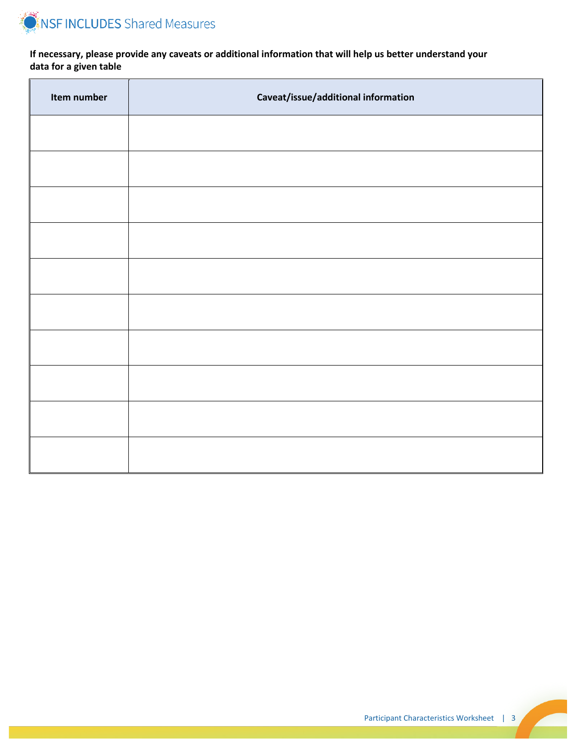

**If necessary, please provide any caveats or additional information that will help us better understand your data for a given table**

| Item number | Caveat/issue/additional information |
|-------------|-------------------------------------|
|             |                                     |
|             |                                     |
|             |                                     |
|             |                                     |
|             |                                     |
|             |                                     |
|             |                                     |
|             |                                     |
|             |                                     |
|             |                                     |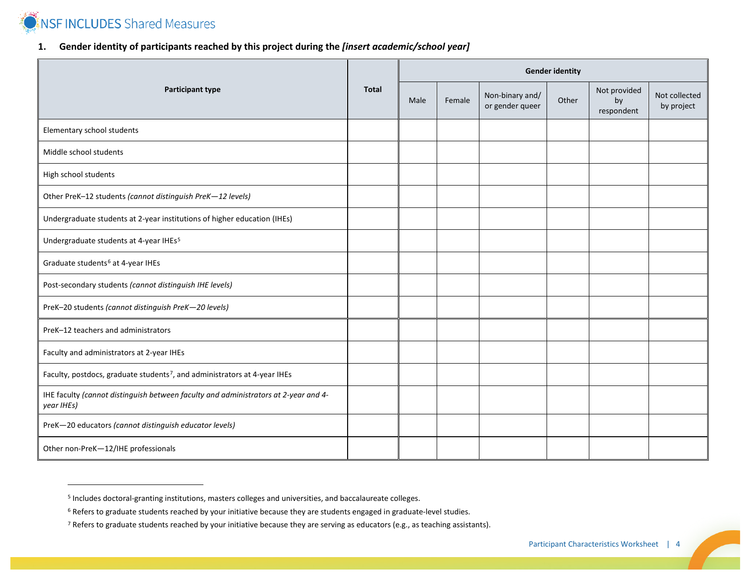

# <span id="page-3-2"></span><span id="page-3-1"></span><span id="page-3-0"></span>**1. Gender identity of participants reached by this project during the** *[insert academic/school year]*

| <b>Participant type</b>                                                                           |  | <b>Gender identity</b> |        |                                    |       |                                  |                             |  |  |  |
|---------------------------------------------------------------------------------------------------|--|------------------------|--------|------------------------------------|-------|----------------------------------|-----------------------------|--|--|--|
|                                                                                                   |  | Male                   | Female | Non-binary and/<br>or gender queer | Other | Not provided<br>by<br>respondent | Not collected<br>by project |  |  |  |
| Elementary school students                                                                        |  |                        |        |                                    |       |                                  |                             |  |  |  |
| Middle school students                                                                            |  |                        |        |                                    |       |                                  |                             |  |  |  |
| High school students                                                                              |  |                        |        |                                    |       |                                  |                             |  |  |  |
| Other PreK-12 students (cannot distinguish PreK-12 levels)                                        |  |                        |        |                                    |       |                                  |                             |  |  |  |
| Undergraduate students at 2-year institutions of higher education (IHEs)                          |  |                        |        |                                    |       |                                  |                             |  |  |  |
| Undergraduate students at 4-year IHEs <sup>5</sup>                                                |  |                        |        |                                    |       |                                  |                             |  |  |  |
| Graduate students <sup>6</sup> at 4-year IHEs                                                     |  |                        |        |                                    |       |                                  |                             |  |  |  |
| Post-secondary students (cannot distinguish IHE levels)                                           |  |                        |        |                                    |       |                                  |                             |  |  |  |
| PreK-20 students (cannot distinguish PreK-20 levels)                                              |  |                        |        |                                    |       |                                  |                             |  |  |  |
| PreK-12 teachers and administrators                                                               |  |                        |        |                                    |       |                                  |                             |  |  |  |
| Faculty and administrators at 2-year IHEs                                                         |  |                        |        |                                    |       |                                  |                             |  |  |  |
| Faculty, postdocs, graduate students <sup>7</sup> , and administrators at 4-year IHEs             |  |                        |        |                                    |       |                                  |                             |  |  |  |
| IHE faculty (cannot distinguish between faculty and administrators at 2-year and 4-<br>year IHEs) |  |                        |        |                                    |       |                                  |                             |  |  |  |
| PreK-20 educators (cannot distinguish educator levels)                                            |  |                        |        |                                    |       |                                  |                             |  |  |  |
| Other non-PreK-12/IHE professionals                                                               |  |                        |        |                                    |       |                                  |                             |  |  |  |

<sup>5</sup> Includes doctoral-granting institutions, masters colleges and universities, and baccalaureate colleges.

<sup>6</sup> Refers to graduate students reached by your initiative because they are students engaged in graduate-level studies.

 $7$  Refers to graduate students reached by your initiative because they are serving as educators (e.g., as teaching assistants).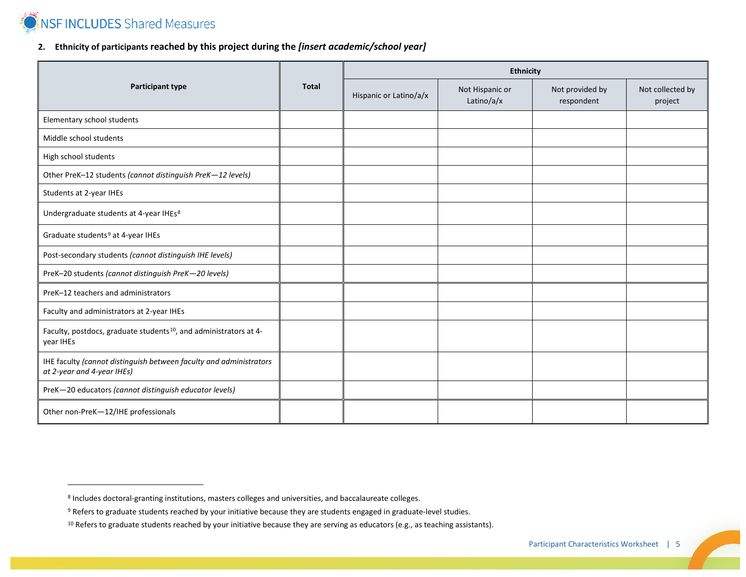**NSF INCLUDES** Shared Measures

 $\overline{a}$ 

# <span id="page-4-2"></span><span id="page-4-1"></span><span id="page-4-0"></span>**2. Ethnicity of participants reached by this project during the** *[insert academic/school year]*

|                                                                                                  |              | <b>Ethnicity</b>       |                               |                               |                             |  |  |  |  |
|--------------------------------------------------------------------------------------------------|--------------|------------------------|-------------------------------|-------------------------------|-----------------------------|--|--|--|--|
| <b>Participant type</b>                                                                          | <b>Total</b> | Hispanic or Latino/a/x | Not Hispanic or<br>Latino/a/x | Not provided by<br>respondent | Not collected by<br>project |  |  |  |  |
| Elementary school students                                                                       |              |                        |                               |                               |                             |  |  |  |  |
| Middle school students                                                                           |              |                        |                               |                               |                             |  |  |  |  |
| High school students                                                                             |              |                        |                               |                               |                             |  |  |  |  |
| Other PreK-12 students (cannot distinguish PreK-12 levels)                                       |              |                        |                               |                               |                             |  |  |  |  |
| Students at 2-year IHEs                                                                          |              |                        |                               |                               |                             |  |  |  |  |
| Undergraduate students at 4-year IHEs8                                                           |              |                        |                               |                               |                             |  |  |  |  |
| Graduate students <sup>9</sup> at 4-year IHEs                                                    |              |                        |                               |                               |                             |  |  |  |  |
| Post-secondary students (cannot distinguish IHE levels)                                          |              |                        |                               |                               |                             |  |  |  |  |
| PreK-20 students (cannot distinguish PreK-20 levels)                                             |              |                        |                               |                               |                             |  |  |  |  |
| PreK-12 teachers and administrators                                                              |              |                        |                               |                               |                             |  |  |  |  |
| Faculty and administrators at 2-year IHEs                                                        |              |                        |                               |                               |                             |  |  |  |  |
| Faculty, postdocs, graduate students <sup>10</sup> , and administrators at 4-<br>year IHEs       |              |                        |                               |                               |                             |  |  |  |  |
| IHE faculty (cannot distinguish between faculty and administrators<br>at 2-year and 4-year IHEs) |              |                        |                               |                               |                             |  |  |  |  |
| PreK-20 educators (cannot distinguish educator levels)                                           |              |                        |                               |                               |                             |  |  |  |  |
| Other non-PreK-12/IHE professionals                                                              |              |                        |                               |                               |                             |  |  |  |  |

<sup>8</sup> Includes doctoral-granting institutions, masters colleges and universities, and baccalaureate colleges.

<sup>9</sup> Refers to graduate students reached by your initiative because they are students engaged in graduate-level studies.

<sup>&</sup>lt;sup>10</sup> Refers to graduate students reached by your initiative because they are serving as educators (e.g., as teaching assistants).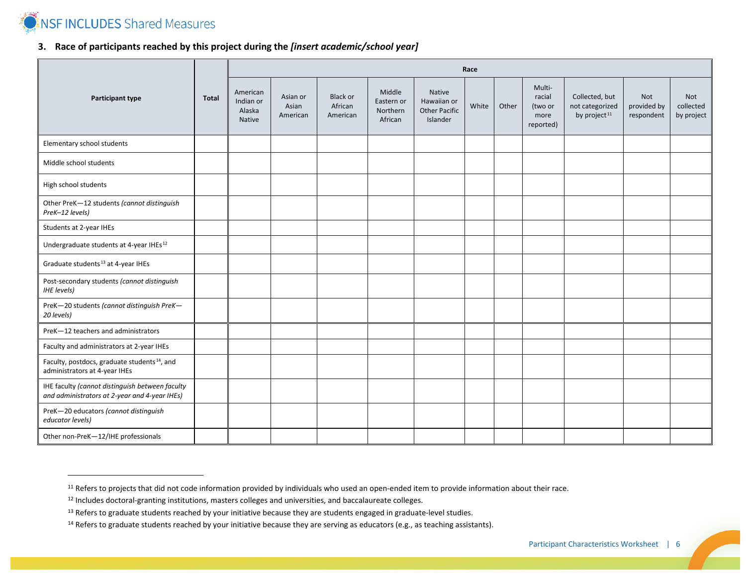

# <span id="page-5-3"></span><span id="page-5-2"></span><span id="page-5-1"></span><span id="page-5-0"></span>**3. Race of participants reached by this project during the** *[insert academic/school year]*

|                                                                                                  |              | Race                                             |                               |                                        |                                             |                                                           |       |       |                                                  |                                                               |                                  |                                |
|--------------------------------------------------------------------------------------------------|--------------|--------------------------------------------------|-------------------------------|----------------------------------------|---------------------------------------------|-----------------------------------------------------------|-------|-------|--------------------------------------------------|---------------------------------------------------------------|----------------------------------|--------------------------------|
| Participant type                                                                                 | <b>Total</b> | American<br>Indian or<br>Alaska<br><b>Native</b> | Asian or<br>Asian<br>American | <b>Black or</b><br>African<br>American | Middle<br>Eastern or<br>Northern<br>African | Native<br>Hawaiian or<br><b>Other Pacific</b><br>Islander | White | Other | Multi-<br>racial<br>(two or<br>more<br>reported) | Collected, but<br>not categorized<br>by project <sup>11</sup> | Not<br>provided by<br>respondent | Not<br>collected<br>by project |
| Elementary school students                                                                       |              |                                                  |                               |                                        |                                             |                                                           |       |       |                                                  |                                                               |                                  |                                |
| Middle school students                                                                           |              |                                                  |                               |                                        |                                             |                                                           |       |       |                                                  |                                                               |                                  |                                |
| High school students                                                                             |              |                                                  |                               |                                        |                                             |                                                           |       |       |                                                  |                                                               |                                  |                                |
| Other PreK-12 students (cannot distinguish<br>PreK-12 levels)                                    |              |                                                  |                               |                                        |                                             |                                                           |       |       |                                                  |                                                               |                                  |                                |
| Students at 2-year IHEs                                                                          |              |                                                  |                               |                                        |                                             |                                                           |       |       |                                                  |                                                               |                                  |                                |
| Undergraduate students at 4-year IHEs <sup>12</sup>                                              |              |                                                  |                               |                                        |                                             |                                                           |       |       |                                                  |                                                               |                                  |                                |
| Graduate students <sup>13</sup> at 4-year IHEs                                                   |              |                                                  |                               |                                        |                                             |                                                           |       |       |                                                  |                                                               |                                  |                                |
| Post-secondary students (cannot distinguish<br><b>IHE</b> levels)                                |              |                                                  |                               |                                        |                                             |                                                           |       |       |                                                  |                                                               |                                  |                                |
| PreK-20 students (cannot distinguish PreK-<br>20 levels)                                         |              |                                                  |                               |                                        |                                             |                                                           |       |       |                                                  |                                                               |                                  |                                |
| PreK-12 teachers and administrators                                                              |              |                                                  |                               |                                        |                                             |                                                           |       |       |                                                  |                                                               |                                  |                                |
| Faculty and administrators at 2-year IHEs                                                        |              |                                                  |                               |                                        |                                             |                                                           |       |       |                                                  |                                                               |                                  |                                |
| Faculty, postdocs, graduate students <sup>14</sup> , and<br>administrators at 4-year IHEs        |              |                                                  |                               |                                        |                                             |                                                           |       |       |                                                  |                                                               |                                  |                                |
| IHE faculty (cannot distinguish between faculty<br>and administrators at 2-year and 4-year IHEs) |              |                                                  |                               |                                        |                                             |                                                           |       |       |                                                  |                                                               |                                  |                                |
| PreK-20 educators (cannot distinguish<br>educator levels)                                        |              |                                                  |                               |                                        |                                             |                                                           |       |       |                                                  |                                                               |                                  |                                |
| Other non-PreK-12/IHE professionals                                                              |              |                                                  |                               |                                        |                                             |                                                           |       |       |                                                  |                                                               |                                  |                                |

<sup>&</sup>lt;sup>11</sup> Refers to projects that did not code information provided by individuals who used an open-ended item to provide information about their race.

<sup>12</sup> Includes doctoral-granting institutions, masters colleges and universities, and baccalaureate colleges.

<sup>&</sup>lt;sup>13</sup> Refers to graduate students reached by your initiative because they are students engaged in graduate-level studies.

<sup>&</sup>lt;sup>14</sup> Refers to graduate students reached by your initiative because they are serving as educators (e.g., as teaching assistants).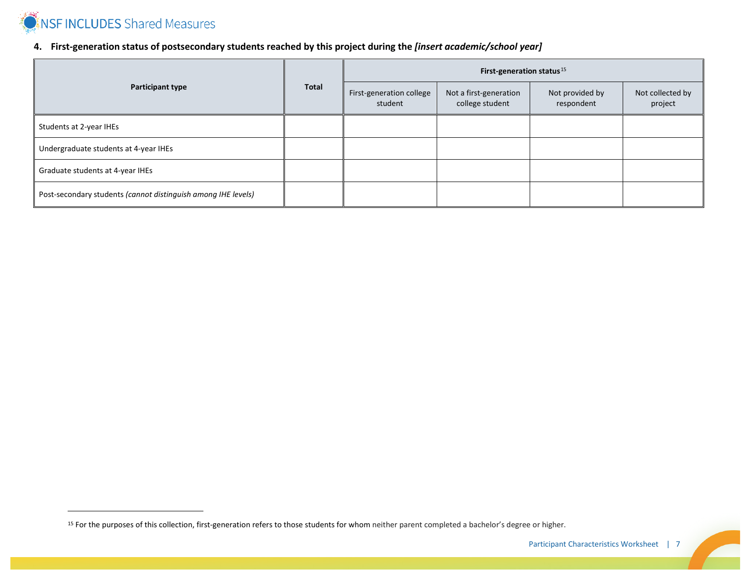

## <span id="page-6-0"></span>**4. First-generation status of postsecondary students reached by this project during the** *[insert academic/school year]*

|                                                               |       | First-generation status $15$        |                                           |                               |                             |  |  |  |
|---------------------------------------------------------------|-------|-------------------------------------|-------------------------------------------|-------------------------------|-----------------------------|--|--|--|
| <b>Participant type</b>                                       | Total | First-generation college<br>student | Not a first-generation<br>college student | Not provided by<br>respondent | Not collected by<br>project |  |  |  |
| Students at 2-year IHEs                                       |       |                                     |                                           |                               |                             |  |  |  |
| Undergraduate students at 4-year IHEs                         |       |                                     |                                           |                               |                             |  |  |  |
| Graduate students at 4-year IHEs                              |       |                                     |                                           |                               |                             |  |  |  |
| Post-secondary students (cannot distinguish among IHE levels) |       |                                     |                                           |                               |                             |  |  |  |

<sup>&</sup>lt;sup>15</sup> For the purposes of this collection, first-generation refers to those students for whom neither parent completed a bachelor's degree or higher.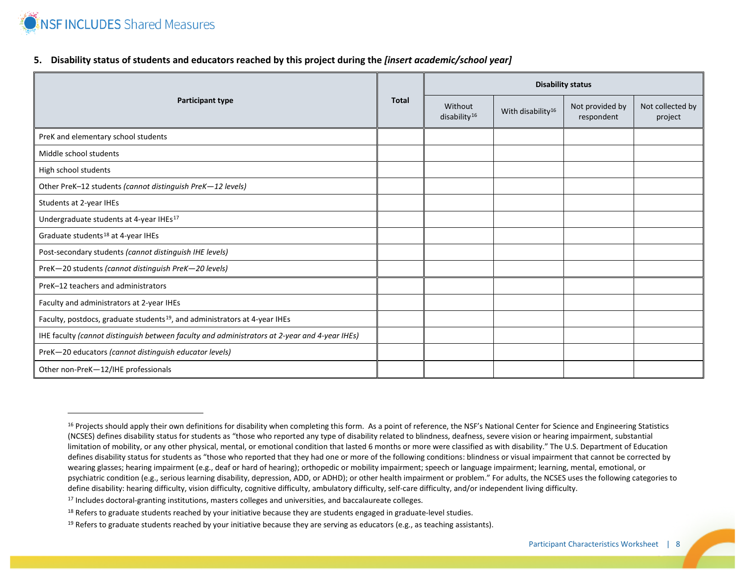

### <span id="page-7-3"></span><span id="page-7-2"></span><span id="page-7-1"></span><span id="page-7-0"></span>**5. Disability status of students and educators reached by this project during the** *[insert academic/school year]*

| <b>Participant type</b>                                                                       |  | <b>Disability status</b>            |                               |                               |                             |  |  |  |
|-----------------------------------------------------------------------------------------------|--|-------------------------------------|-------------------------------|-------------------------------|-----------------------------|--|--|--|
|                                                                                               |  | Without<br>disability <sup>16</sup> | With disability <sup>16</sup> | Not provided by<br>respondent | Not collected by<br>project |  |  |  |
| PreK and elementary school students                                                           |  |                                     |                               |                               |                             |  |  |  |
| Middle school students                                                                        |  |                                     |                               |                               |                             |  |  |  |
| High school students                                                                          |  |                                     |                               |                               |                             |  |  |  |
| Other PreK-12 students (cannot distinguish PreK-12 levels)                                    |  |                                     |                               |                               |                             |  |  |  |
| Students at 2-year IHEs                                                                       |  |                                     |                               |                               |                             |  |  |  |
| Undergraduate students at 4-year IHEs <sup>17</sup>                                           |  |                                     |                               |                               |                             |  |  |  |
| Graduate students <sup>18</sup> at 4-year IHEs                                                |  |                                     |                               |                               |                             |  |  |  |
| Post-secondary students (cannot distinguish IHE levels)                                       |  |                                     |                               |                               |                             |  |  |  |
| PreK-20 students (cannot distinguish PreK-20 levels)                                          |  |                                     |                               |                               |                             |  |  |  |
| PreK-12 teachers and administrators                                                           |  |                                     |                               |                               |                             |  |  |  |
| Faculty and administrators at 2-year IHEs                                                     |  |                                     |                               |                               |                             |  |  |  |
| Faculty, postdocs, graduate students <sup>19</sup> , and administrators at 4-year IHEs        |  |                                     |                               |                               |                             |  |  |  |
| IHE faculty (cannot distinguish between faculty and administrators at 2-year and 4-year IHEs) |  |                                     |                               |                               |                             |  |  |  |
| PreK-20 educators (cannot distinguish educator levels)                                        |  |                                     |                               |                               |                             |  |  |  |
| Other non-PreK-12/IHE professionals                                                           |  |                                     |                               |                               |                             |  |  |  |

<sup>17</sup> Includes doctoral-granting institutions, masters colleges and universities, and baccalaureate colleges.

<sup>&</sup>lt;sup>16</sup> Projects should apply their own definitions for disability when completing this form. As a point of reference, the NSF's National Center for Science and Engineering Statistics (NCSES) defines disability status for students as "those who reported any type of disability related to blindness, deafness, severe vision or hearing impairment, substantial limitation of mobility, or any other physical, mental, or emotional condition that lasted 6 months or more were classified as with disability." The U.S. Department of Education defines disability status for students as "those who reported that they had one or more of the following conditions: blindness or visual impairment that cannot be corrected by wearing glasses; hearing impairment (e.g., deaf or hard of hearing); orthopedic or mobility impairment; speech or language impairment; learning, mental, emotional, or psychiatric condition (e.g., serious learning disability, depression, ADD, or ADHD); or other health impairment or problem." For adults, the NCSES uses the following categories to define disability: hearing difficulty, vision difficulty, cognitive difficulty, ambulatory difficulty, self-care difficulty, and/or independent living difficulty.

<sup>&</sup>lt;sup>18</sup> Refers to graduate students reached by your initiative because they are students engaged in graduate-level studies.

<sup>&</sup>lt;sup>19</sup> Refers to graduate students reached by your initiative because they are serving as educators (e.g., as teaching assistants).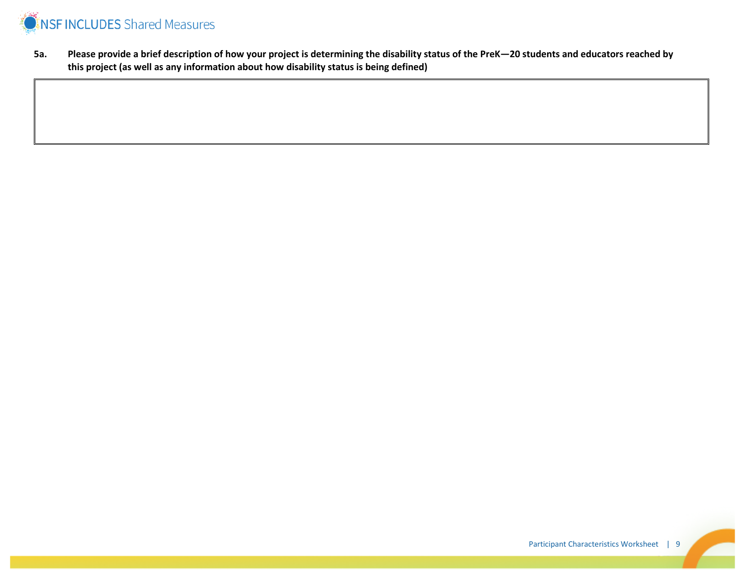

**5a. Please provide a brief description of how your project is determining the disability status of the PreK—20 students and educators reached by this project (as well as any information about how disability status is being defined)**